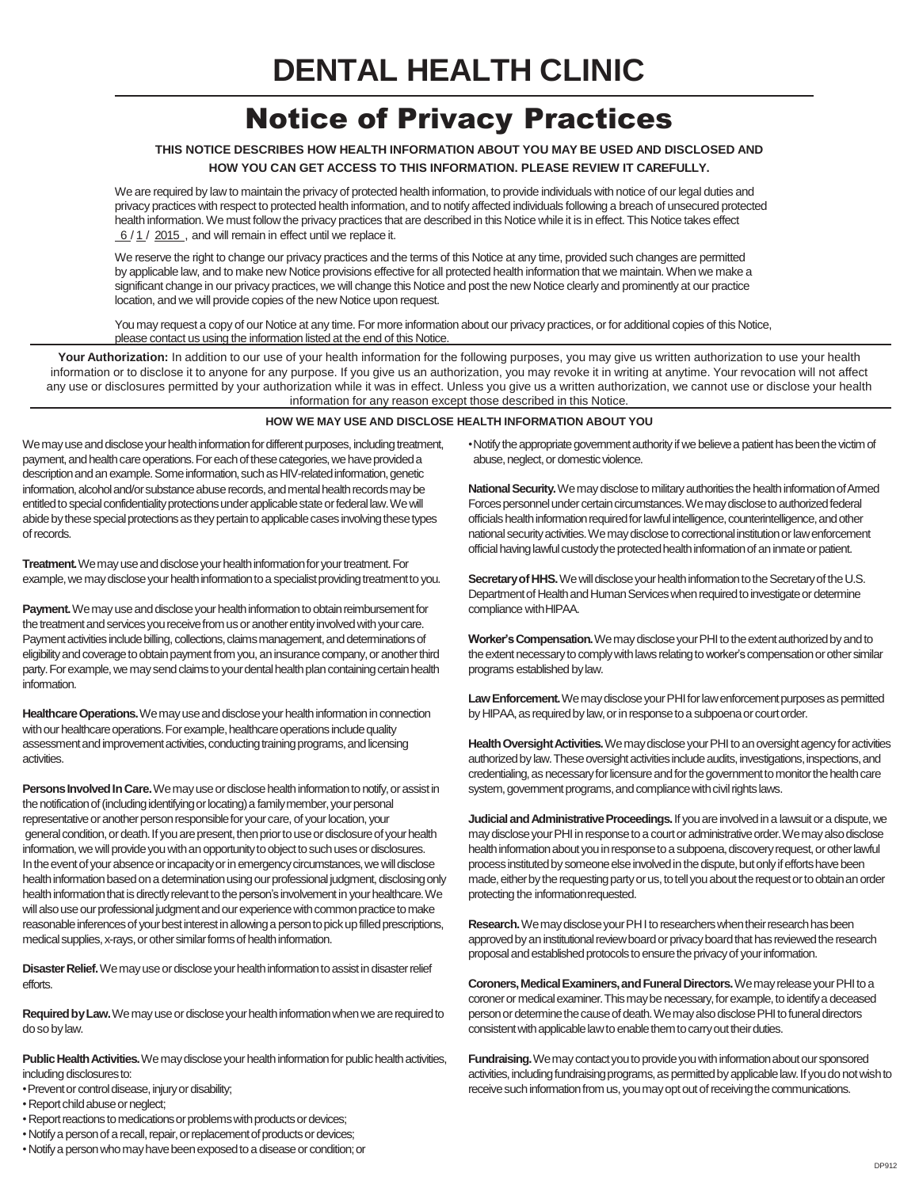# Notice of Privacy Practices

## **THIS NOTICE DESCRIBES HOW HEALTH INFORMATION ABOUT YOU MAY BE USED AND DISCLOSED AND HOW YOU CAN GET ACCESS TO THIS INFORMATION. PLEASE REVIEW IT CAREFULLY.**

We are required by law to maintain the privacy of protected health information, to provide individuals with notice of our legal duties and privacy practices with respect to protected health information, and to notify affected individuals following a breach of unsecured protected health information.We must follow the privacy practices that are described in this Notice while it is in effect. This Notice takes effect  $6/1/2015$ , and will remain in effect until we replace it.

We reserve the right to change our privacy practices and the terms of this Notice at any time, provided such changes are permitted by applicable law, and to make new Notice provisions effective for all protected health information that we maintain.When we make a significant change in our privacy practices, we will change this Notice and post the new Notice clearly and prominently at our practice location, and we will provide copies of the new Notice upon request.

Youmay request a copy of our Notice at any time. For more information about our privacy practices, or for additional copies of this Notice, please contact us using the information listed at the end of this Notice.

Your Authorization: In addition to our use of your health information for the following purposes, you may give us written authorization to use your health information or to disclose it to anyone for any purpose. If you give us an authorization, you may revoke it in writing at anytime. Your revocation will not affect any use or disclosures permitted by your authorization while it was in effect. Unless you give us a written authorization, we cannot use or disclose your health information for any reason except those described in this Notice.

### **HOW WE MAY USE AND DISCLOSE HEALTH INFORMATION ABOUT YOU**

We may use and disclose your health information for different purposes, including treatment, payment, and health care operations. For each of these categories, we have provided a description and an example. Some information, such as HIV-related information, genetic information, alcohol and/or substance abuse records, and mental health records may be entitled to special confidentiality protections under applicable state or federal law. We will abide by these special protections as they pertain to applicable cases involving these types of records.

**Treatment.** We may use and disclose your health information for your treatment. For example, we may disclose your health information to a specialist providing treatment to you.

Payment. We may use and disclose your health information to obtain reimbursement for the treatment and services you receive from us or another entity involved with your care. Payment activities include billing, collections, claims management, and determinations of eligibility and coverage to obtain payment from you, an insurance company, or another third party. For example, we may send claims to your dental health plan containing certain health information.

**Healthcare Operations.** We may use and disclose your health information in connection with our healthcare operations. For example, healthcare operations include quality assessment and improvement activities, conducting training programs, and licensing activities.

**Persons Involved In Care.** We may use or disclose health information to notify, or assist in the notification of (including identifying or locating) a family member, your personal representative or another person responsible for your care, of your location, your general condition, or death. If you are present, then prior to use or disclosure of your health information, we will provide you with an opportunity to object to such uses or disclosures. In the event of your absence or incapacity or in emergency circumstances, we will disclose health information based on a determination using our professional judgment, disclosing only health information that is directly relevant to the person's involvement in your healthcare. We will also use our professional judgment and our experience with common practice to make reasonable inferences of your best interest in allowing a person to pick up filled prescriptions, medical supplies, x-rays, or other similar forms of health information.

**Disaster Relief.** We may use or disclose your health information to assist in disaster relief efforts.

Required by Law. We may use or disclose your health information when we are required to dosobylaw.

**Public Health Activities.** We may disclose your health information for public health activities, including disclosures to:

• Prevent or control disease, injury or disability;

- Report child abuse or neglect;
- Report reactions to medications or problems with products or devices;
- Notify a person of a recall, repair, or replacement of products or devices;
- •Notifya personwhomayhavebeenexposedtoa diseaseorcondition;or

• Notify the appropriate government authority if we believe a patient has been the victim of abuse, neglect, or domestic violence.

National Security. We may disclose to military authorities the health information of Armed Forces personnel under certain circumstances. We may disclose to authorized federal officials health information required for lawful intelligence, counterintelligence, and other national security activities. We may disclose to correctional institution or law enforcement official having lawful custody the protected health information of an inmate or patient.

**Secretary of HHS.** We will disclose your health information to the Secretary of the U.S. Department of Health and Human Services when required to investigate or determine compliance withHIPAA.

Worker's Compensation. We may disclose your PHI to the extent authorized by and to the extent necessary to comply with laws relating to worker's compensation or other similar programs established bylaw.

Law Enforcement. We may disclose your PHI for law enforcement purposes as permitted by HIPAA, as required by law, or in response to a subpoena or court order.

Health Oversight Activities. We may disclose your PHI to an oversight agency for activities authorized by law. These oversight activities include audits, investigations, inspections, and credentialing, as necessary for licensure and for the government to monitor the health care system, government programs, and compliance with civil rights laws.

**Judicial and Administrative Proceedings.** If you are involved in a lawsuit or a dispute, we may disclose your PHI in response to a court or administrative order. We may also disclose health information about you in response to a subpoena, discovery request, or other lawful process instituted by someone else involved in the dispute, but only if efforts have been made, either by the requesting party or us, to tell you about the request or to obtain an order protecting the informationrequested.

Research. We may disclose your PHI to researchers when their research has been approved by an institutional review board or privacy board that has reviewed the research proposal and established protocols to ensure the privacy of your information.

Coroners, Medical Examiners, and Funeral Directors. We may release your PHI to a coroner or medical examiner. This may be necessary, for example, to identify a deceased person or determine the cause of death. We may also disclose PHI to funeral directors consistent with applicable law to enable them to carry out their duties.

**Fundraising.** We may contact you to provide you with information about our sponsored activities, including fundraising programs, as permitted by applicable law. If you do not wish to receive such information from us, you may opt out of receiving the communications.